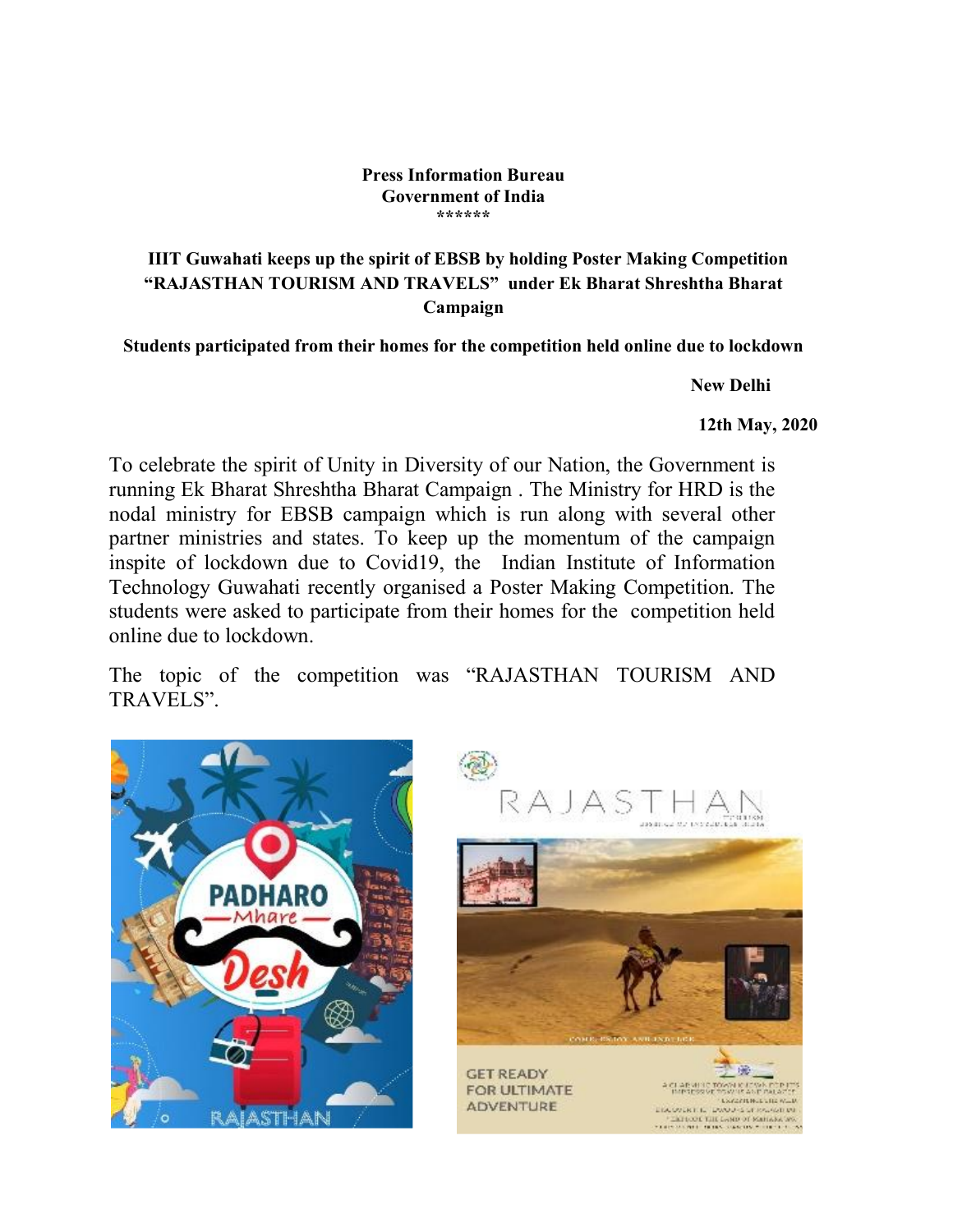## Press Information Bureau Government of India \*\*\*\*\*\*

## IIIT Guwahati keeps up the spirit of EBSB by holding Poster Making Competition "RAJASTHAN TOURISM AND TRAVELS" under Ek Bharat Shreshtha Bharat Campaign

Students participated from their homes for the competition held online due to lockdown

New Delhi

12th May, 2020

To celebrate the spirit of Unity in Diversity of our Nation, the Government is running Ek Bharat Shreshtha Bharat Campaign . The Ministry for HRD is the nodal ministry for EBSB campaign which is run along with several other partner ministries and states. To keep up the momentum of the campaign inspite of lockdown due to Covid19, the Indian Institute of Information Technology Guwahati recently organised a Poster Making Competition. The students were asked to participate from their homes for the competition held online due to lockdown.

The topic of the competition was "RAJASTHAN TOURISM AND TRAVELS".

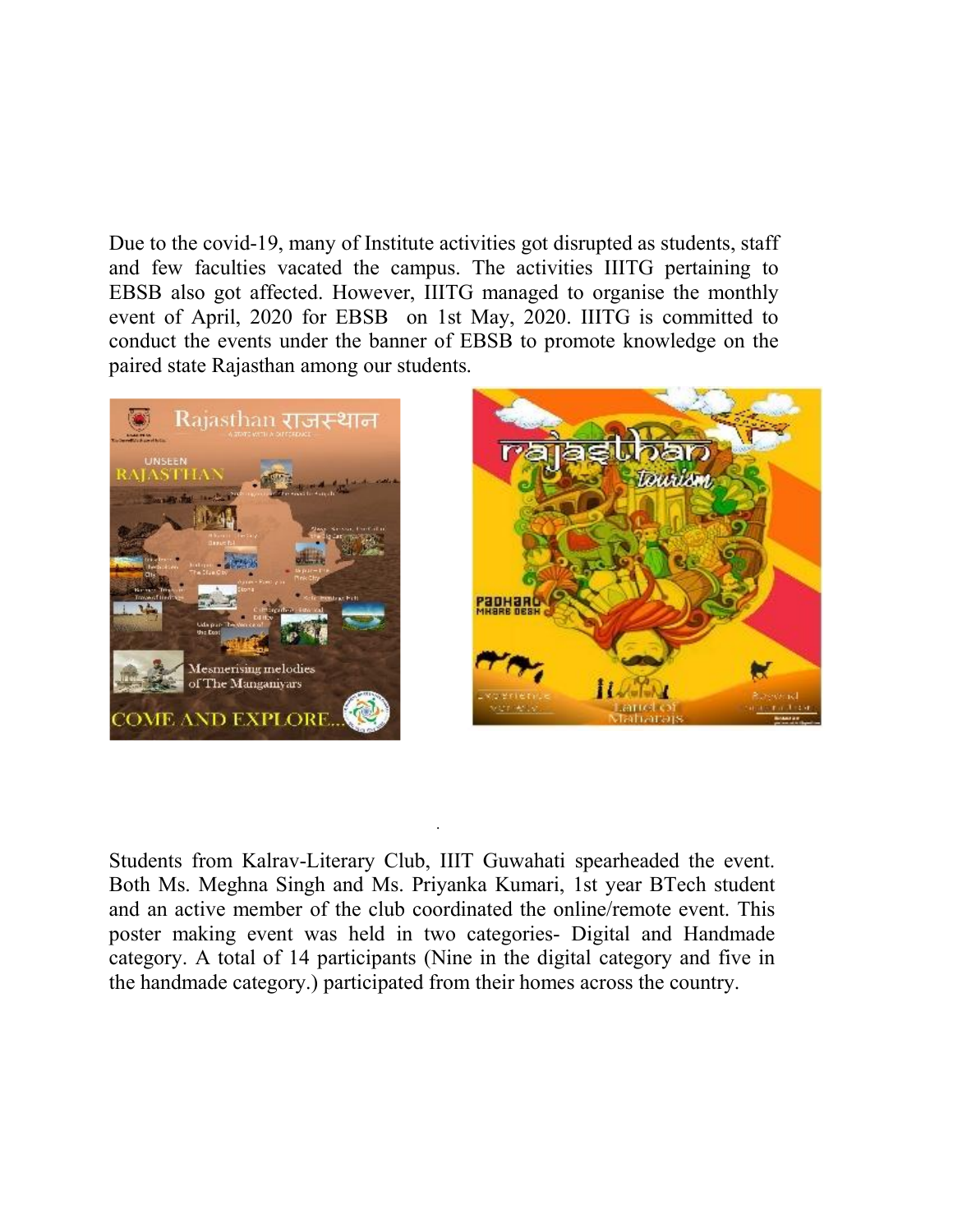Due to the covid-19, many of Institute activities got disrupted as students, staff and few faculties vacated the campus. The activities IIITG pertaining to EBSB also got affected. However, IIITG managed to organise the monthly event of April, 2020 for EBSB on 1st May, 2020. IIITG is committed to conduct the events under the banner of EBSB to promote knowledge on the paired state Rajasthan among our students.





Students from Kalrav-Literary Club, IIIT Guwahati spearheaded the event. Both Ms. Meghna Singh and Ms. Priyanka Kumari, 1st year BTech student and an active member of the club coordinated the online/remote event. This poster making event was held in two categories- Digital and Handmade category. A total of 14 participants (Nine in the digital category and five in the handmade category.) participated from their homes across the country.

.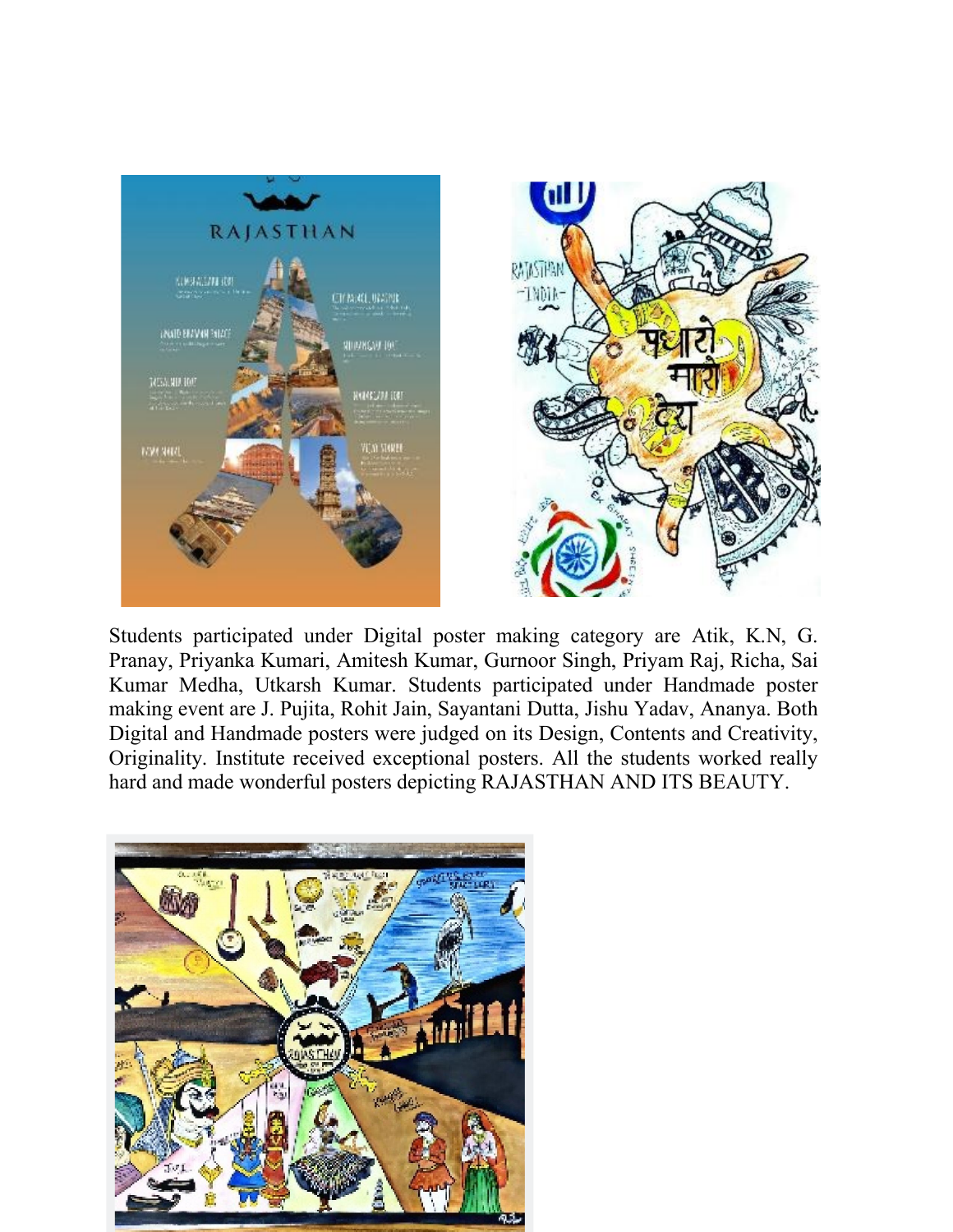

Students participated under Digital poster making category are Atik, K.N, G. Pranay, Priyanka Kumari, Amitesh Kumar, Gurnoor Singh, Priyam Raj, Richa, Sai Kumar Medha, Utkarsh Kumar. Students participated under Handmade poster making event are J. Pujita, Rohit Jain, Sayantani Dutta, Jishu Yadav, Ananya. Both Digital and Handmade posters were judged on its Design, Contents and Creativity, Originality. Institute received exceptional posters. All the students worked really hard and made wonderful posters depicting RAJASTHAN AND ITS BEAUTY.